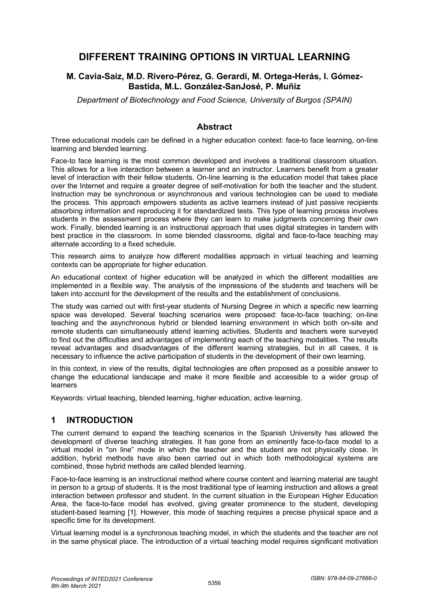# **DIFFERENT TRAINING OPTIONS IN VIRTUAL LEARNING**

#### **M. Cavia-Saiz, M.D. Rivero-Pérez, G. Gerardi, M. Ortega-Herás, I. Gómez-Bastida, M.L. González-SanJosé, P. Muñiz**

*Department of Biotechnology and Food Science, University of Burgos (SPAIN)* 

## **Abstract**

Three educational models can be defined in a higher education context: face-to face learning, on-line learning and blended learning.

Face-to face learning is the most common developed and involves a traditional classroom situation. This allows for a live interaction between a learner and an instructor. Learners benefit from a greater level of interaction with their fellow students. On-line learning is the education model that takes place over the Internet and require a greater degree of self-motivation for both the teacher and the student. Instruction may be synchronous or asynchronous and various technologies can be used to mediate the process. This approach empowers students as active learners instead of just passive recipients absorbing information and reproducing it for standardized tests. This type of learning process involves students in the assessment process where they can learn to make judgments concerning their own work. Finally, blended learning is an instructional approach that uses digital strategies in tandem with best practice in the classroom. In some blended classrooms, digital and face-to-face teaching may alternate according to a fixed schedule.

This research aims to analyze how different modalities approach in virtual teaching and learning contexts can be appropriate for higher education.

An educational context of higher education will be analyzed in which the different modalities are implemented in a flexible way. The analysis of the impressions of the students and teachers will be taken into account for the development of the results and the establishment of conclusions.

The study was carried out with first-year students of Nursing Degree in which a specific new learning space was developed. Several teaching scenarios were proposed: face-to-face teaching; on-line teaching and the asynchronous hybrid or blended learning environment in which both on-site and remote students can simultaneously attend learning activities. Students and teachers were surveyed to find out the difficulties and advantages of implementing each of the teaching modalities. The results reveal advantages and disadvantages of the different learning strategies, but in all cases, it is necessary to influence the active participation of students in the development of their own learning.

In this context, in view of the results, digital technologies are often proposed as a possible answer to change the educational landscape and make it more flexible and accessible to a wider group of learners

Keywords: virtual teaching, blended learning, higher education, active learning.

## **1 INTRODUCTION**

The current demand to expand the teaching scenarios in the Spanish University has allowed the development of diverse teaching strategies. It has gone from an eminently face-to-face model to a virtual model in "on line" mode in which the teacher and the student are not physically close. In addition, hybrid methods have also been carried out in which both methodological systems are combined, those hybrid methods are called blended learning.

Face-to-face learning is an instructional method where course content and learning material are taught in person to a group of students. It is the most traditional type of learning instruction and allows a great interaction between professor and student. In the current situation in the European Higher Education Area, the face-to-face model has evolved, giving greater prominence to the student, developing student-based learning [1]. However, this mode of teaching requires a precise physical space and a specific time for its development.

Virtual learning model is a synchronous teaching model, in which the students and the teacher are not in the same physical place. The introduction of a virtual teaching model requires significant motivation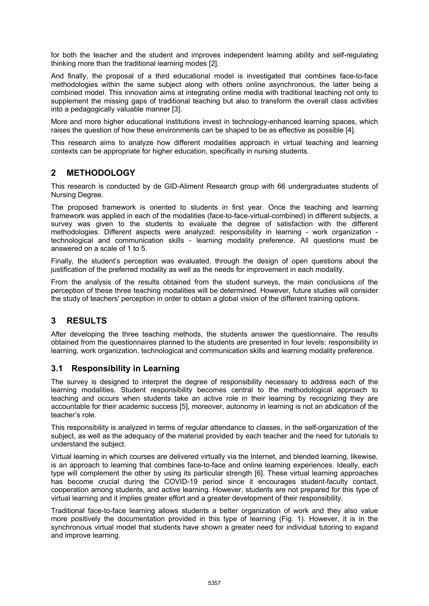for both the teacher and the student and improves independent learning ability and self-regulating thinking more than the traditional learning modes [2].

And finally, the proposal of a third educational model is investigated that combines face-to-face methodologies within the same subject along with others online asynchronous, the latter being a combined model. This innovation aims at integrating online media with traditional teaching not only to supplement the missing gaps of traditional teaching but also to transform the overall class activities into a pedagogically valuable manner [3].

More and more higher educational institutions invest in technology-enhanced learning spaces, which raises the question of how these environments can be shaped to be as effective as possible [4].

This research aims to analyze how different modalities approach in virtual teaching and learning contexts can be appropriate for higher education, specifically in nursing students.

## **2 METHODOLOGY**

This research is conducted by de GID-Aliment Research group with 66 undergraduates students of Nursing Degree.

The proposed framework is oriented to students in first year. Once the teaching and learning framework was applied in each of the modalities (face-to-face-virtual-combined) in different subjects, a survey was given to the students to evaluate the degree of satisfaction with the different methodologies. Different aspects were analyzed: responsibility in learning - work organization technological and communication skills - learning modality preference. All questions must be answered on a scale of 1 to 5.

Finally, the student's perception was evaluated, through the design of open questions about the justification of the preferred modality as well as the needs for improvement in each modality.

From the analysis of the results obtained from the student surveys, the main conclusions of the perception of these three teaching modalities will be determined. However, future studies will consider the study of teachers' perception in order to obtain a global vision of the different training options.

## **3 RESULTS**

After developing the three teaching methods, the students answer the questionnaire. The results obtained from the questionnaires planned to the students are presented in four levels: responsibility in learning, work organization, technological and communication skills and learning modality preference.

#### **3.1 Responsibility in Learning**

The survey is designed to interpret the degree of responsibility necessary to address each of the learning modalities. Student responsibility becomes central to the methodological approach to teaching and occurs when students take an active role in their learning by recognizing they are accountable for their academic success [5], moreover, autonomy in learning is not an abdication of the teacher's role.

This responsibility is analyzed in terms of regular attendance to classes, in the self-organization of the subject, as well as the adequacy of the material provided by each teacher and the need for tutorials to understand the subject.

Virtual learning in which courses are delivered virtually via the Internet, and blended learning, likewise, is an approach to learning that combines face-to-face and online learning experiences. Ideally, each type will complement the other by using its particular strength [6]. These virtual learning approaches has become crucial during the COVID-19 period since it encourages student-faculty contact, cooperation among students, and active learning. However, students are not prepared for this type of virtual learning and it implies greater effort and a greater development of their responsibility.

Traditional face-to-face learning allows students a better organization of work and they also value more positively the documentation provided in this type of learning (Fig. 1). However, it is in the synchronous virtual model that students have shown a greater need for individual tutoring to expand and improve learning.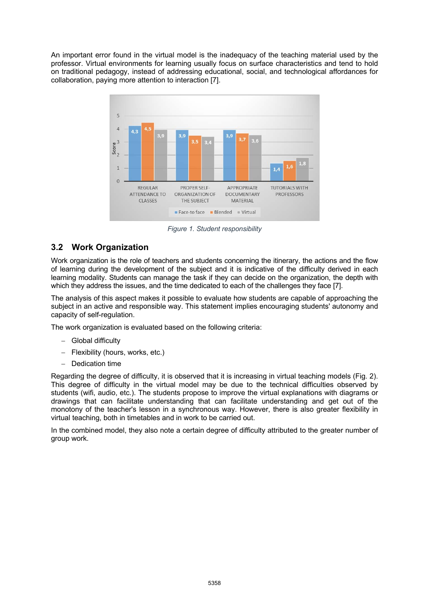An important error found in the virtual model is the inadequacy of the teaching material used by the professor. Virtual environments for learning usually focus on surface characteristics and tend to hold on traditional pedagogy, instead of addressing educational, social, and technological affordances for collaboration, paying more attention to interaction [7].



*Figure 1. Student responsibility*

## **3.2 Work Organization**

Work organization is the role of teachers and students concerning the itinerary, the actions and the flow of learning during the development of the subject and it is indicative of the difficulty derived in each learning modality. Students can manage the task if they can decide on the organization, the depth with which they address the issues, and the time dedicated to each of the challenges they face [7].

The analysis of this aspect makes it possible to evaluate how students are capable of approaching the subject in an active and responsible way. This statement implies encouraging students' autonomy and capacity of self-regulation.

The work organization is evaluated based on the following criteria:

- Global difficulty
- Flexibility (hours, works, etc.)
- Dedication time

Regarding the degree of difficulty, it is observed that it is increasing in virtual teaching models (Fig. 2). This degree of difficulty in the virtual model may be due to the technical difficulties observed by students (wifi, audio, etc.). The students propose to improve the virtual explanations with diagrams or drawings that can facilitate understanding that can facilitate understanding and get out of the monotony of the teacher's lesson in a synchronous way. However, there is also greater flexibility in virtual teaching, both in timetables and in work to be carried out.

In the combined model, they also note a certain degree of difficulty attributed to the greater number of group work.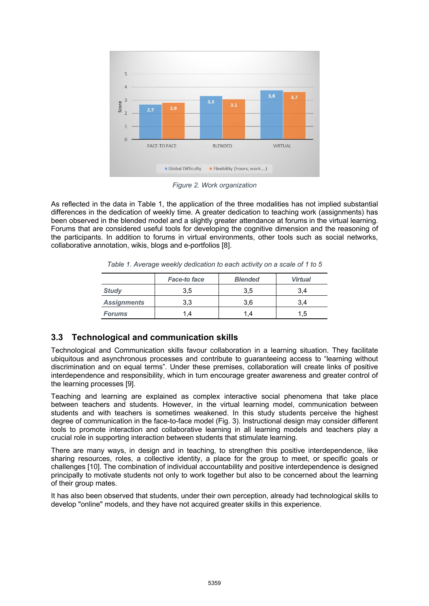

*Figure 2. Work organization*

As reflected in the data in Table 1, the application of the three modalities has not implied substantial differences in the dedication of weekly time. A greater dedication to teaching work (assignments) has been observed in the blended model and a slightly greater attendance at forums in the virtual learning. Forums that are considered useful tools for developing the cognitive dimension and the reasoning of the participants. In addition to forums in virtual environments, other tools such as social networks, collaborative annotation, wikis, blogs and e-portfolios [8].

|                     | <b>Face-to face</b> | <b>Blended</b> | <b>Virtual</b> |  |
|---------------------|---------------------|----------------|----------------|--|
| $C_{4}$ and $C_{4}$ |                     |                |                |  |

*Table 1. Average weekly dedication to each activity on a scale of 1 to 5*

|                    | <b>Face-to face</b> | <b>Blended</b> | <b>Virtual</b> |
|--------------------|---------------------|----------------|----------------|
| <b>Study</b>       | 3.5                 | 3.5            | 3.4            |
| <b>Assignments</b> | 3.3                 | 3.6            | 3.4            |
| <b>Forums</b>      |                     |                | 1.5            |

## **3.3 Technological and communication skills**

Technological and Communication skills favour collaboration in a learning situation. They facilitate ubiquitous and asynchronous processes and contribute to guaranteeing access to "learning without discrimination and on equal terms". Under these premises, collaboration will create links of positive interdependence and responsibility, which in turn encourage greater awareness and greater control of the learning processes [9].

Teaching and learning are explained as complex interactive social phenomena that take place between teachers and students. However, in the virtual learning model, communication between students and with teachers is sometimes weakened. In this study students perceive the highest degree of communication in the face-to-face model (Fig. 3). Instructional design may consider different tools to promote interaction and collaborative learning in all learning models and teachers play a crucial role in supporting interaction between students that stimulate learning.

There are many ways, in design and in teaching, to strengthen this positive interdependence, like sharing resources, roles, a collective identity, a place for the group to meet, or specific goals or challenges [10]. The combination of individual accountability and positive interdependence is designed principally to motivate students not only to work together but also to be concerned about the learning of their group mates.

It has also been observed that students, under their own perception, already had technological skills to develop "online" models, and they have not acquired greater skills in this experience.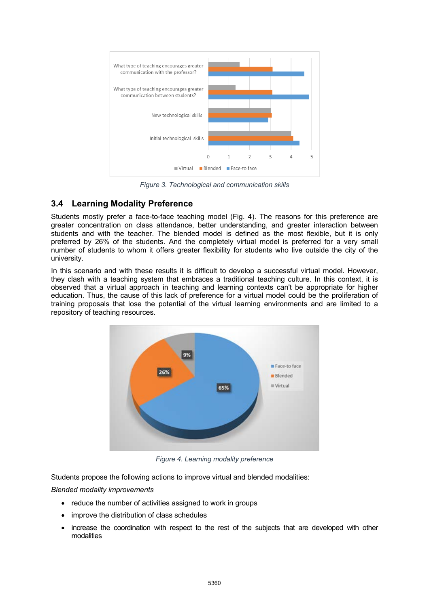

*Figure 3. Technological and communication skills*

## **3.4 Learning Modality Preference**

Students mostly prefer a face-to-face teaching model (Fig. 4). The reasons for this preference are greater concentration on class attendance, better understanding, and greater interaction between students and with the teacher. The blended model is defined as the most flexible, but it is only preferred by 26% of the students. And the completely virtual model is preferred for a very small number of students to whom it offers greater flexibility for students who live outside the city of the university.

In this scenario and with these results it is difficult to develop a successful virtual model. However, they clash with a teaching system that embraces a traditional teaching culture. In this context, it is observed that a virtual approach in teaching and learning contexts can't be appropriate for higher education. Thus, the cause of this lack of preference for a virtual model could be the proliferation of training proposals that lose the potential of the virtual learning environments and are limited to a repository of teaching resources.



*Figure 4. Learning modality preference*

Students propose the following actions to improve virtual and blended modalities:

*Blended modality improvements*

- reduce the number of activities assigned to work in groups
- improve the distribution of class schedules
- increase the coordination with respect to the rest of the subjects that are developed with other modalities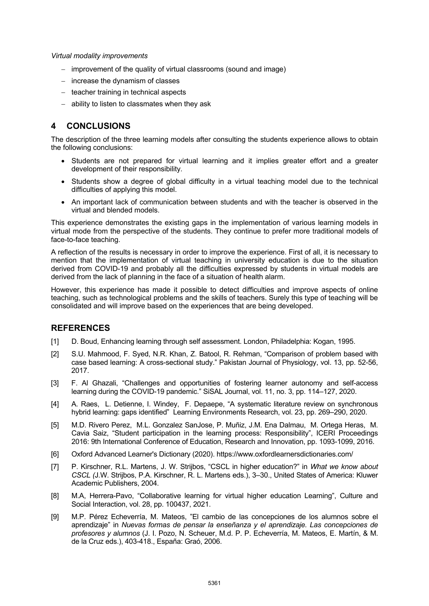#### *Virtual modality improvements*

- improvement of the quality of virtual classrooms (sound and image)
- increase the dynamism of classes
- teacher training in technical aspects
- ability to listen to classmates when they ask

## **4 CONCLUSIONS**

The description of the three learning models after consulting the students experience allows to obtain the following conclusions:

- Students are not prepared for virtual learning and it implies greater effort and a greater development of their responsibility.
- Students show a degree of global difficulty in a virtual teaching model due to the technical difficulties of applying this model.
- An important lack of communication between students and with the teacher is observed in the virtual and blended models.

This experience demonstrates the existing gaps in the implementation of various learning models in virtual mode from the perspective of the students. They continue to prefer more traditional models of face-to-face teaching.

A reflection of the results is necessary in order to improve the experience. First of all, it is necessary to mention that the implementation of virtual teaching in university education is due to the situation derived from COVID-19 and probably all the difficulties expressed by students in virtual models are derived from the lack of planning in the face of a situation of health alarm.

However, this experience has made it possible to detect difficulties and improve aspects of online teaching, such as technological problems and the skills of teachers. Surely this type of teaching will be consolidated and will improve based on the experiences that are being developed.

## **REFERENCES**

- [1] D. Boud, Enhancing learning through self assessment. London, Philadelphia: Kogan, 1995.
- [2] S.U. Mahmood, F. Syed, N.R. Khan, Z. Batool, R. Rehman, "Comparison of problem based with case based learning: A cross-sectional study." Pakistan Journal of Physiology, vol. 13, pp. 52-56, 2017.
- [3] F. Al Ghazali, "Challenges and opportunities of fostering learner autonomy and self-access learning during the COVID-19 pandemic." SiSAL Journal, vol. 11, no. 3, pp. 114–127, 2020.
- [4] A. Raes, L. Detienne, I. Windey, F. Depaepe, "A systematic literature review on synchronous hybrid learning: gaps identified" Learning Environments Research, vol. 23, pp. 269–290, 2020.
- [5] M.D. Rivero Perez, M.L. Gonzalez SanJose, P. Muñiz, J.M. Ena Dalmau, M. Ortega Heras, M. Cavia Saiz, "Student participation in the learning process: Responsibility", ICERI Proceedings 2016: 9th International Conference of Education, Research and Innovation, pp. 1093-1099, 2016.
- [6] Oxford Advanced Learner's Dictionary (2020). https://www.oxfordlearnersdictionaries.com/
- [7] P. Kirschner, R.L. Martens, J. W. Strijbos, "CSCL in higher education?" in *What we know about CSCL (*J.W. Strijbos, P.A. Kirschner, R. L. Martens eds.), 3–30., United States of America: Kluwer Academic Publishers, 2004.
- [8] M.A, Herrera-Pavo, "Collaborative learning for virtual higher education Learning", Culture and Social Interaction, vol. 28, pp. 100437, 2021.
- [9] M.P. Pérez Echeverría, M. Mateos, "El cambio de las concepciones de los alumnos sobre el aprendizaje" in *Nuevas formas de pensar la enseñanza y el aprendizaje. Las concepciones de profesores y alumnos* (J. I. Pozo, N. Scheuer, M.d. P. P. Echeverría, M. Mateos, E. Martín, & M. de la Cruz eds.), 403-418., España: Graó, 2006.